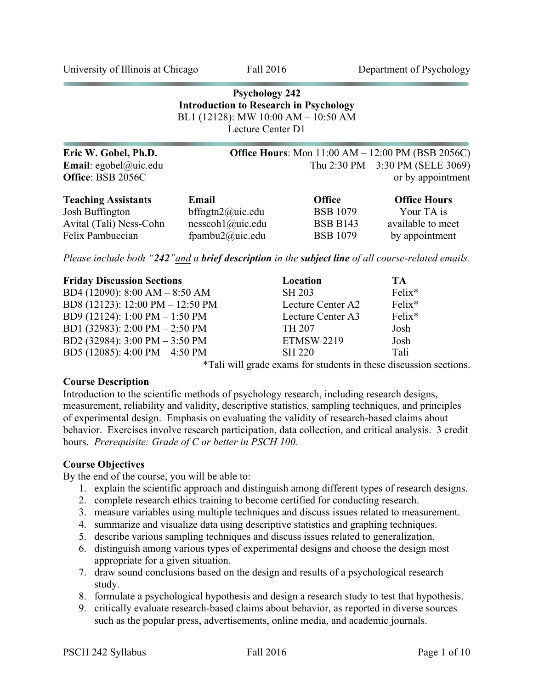University of Illinois at Chicago Fall 2016 Department of Psychology

| <b>Psychology 242</b><br><b>Introduction to Research in Psychology</b><br>BL1 (12128): MW 10:00 AM - 10:50 AM<br>Lecture Center D1 |                                |                 |                                                                                                                          |  |  |
|------------------------------------------------------------------------------------------------------------------------------------|--------------------------------|-----------------|--------------------------------------------------------------------------------------------------------------------------|--|--|
| Eric W. Gobel, Ph.D.<br>Email: egobel@uic.edu<br>Office: BSB 2056C                                                                 |                                |                 | <b>Office Hours:</b> Mon $11:00$ AM $- 12:00$ PM (BSB 2056C)<br>Thu 2:30 PM $-$ 3:30 PM (SELE 3069)<br>or by appointment |  |  |
| <b>Teaching Assistants</b>                                                                                                         | Email                          | <b>Office</b>   | <b>Office Hours</b>                                                                                                      |  |  |
| Josh Buffington                                                                                                                    | bffngtn $2$ @uic.edu           | <b>BSB</b> 1079 | Your TA is                                                                                                               |  |  |
| Avital (Tali) Ness-Cohn                                                                                                            | $nesscoh1$ ( <i>a</i> )uic.edu | <b>BSB B143</b> | available to meet                                                                                                        |  |  |
| Felix Pambuccian                                                                                                                   | fpambu $2@$ uic.edu            | <b>BSB</b> 1079 | by appointment                                                                                                           |  |  |

*Please include both "242"and a brief description in the subject line of all course-related emails.*

| <b>Friday Discussion Sections</b> | Location          | TА     |
|-----------------------------------|-------------------|--------|
| BD4 (12090): 8:00 AM - 8:50 AM    | <b>SH 203</b>     | Felix* |
| BD8 (12123): 12:00 PM - 12:50 PM  | Lecture Center A2 | Felix* |
| BD9 (12124): 1:00 PM - 1:50 PM    | Lecture Center A3 | Felix* |
| BD1 (32983): 2:00 PM - 2:50 PM    | <b>TH 207</b>     | Josh   |
| BD2 (32984): 3:00 PM - 3:50 PM    | <b>ETMSW 2219</b> | Josh   |
| BD5 (12085): 4:00 PM - 4:50 PM    | <b>SH 220</b>     | Tali   |

\*Tali will grade exams for students in these discussion sections.

#### **Course Description**

Introduction to the scientific methods of psychology research, including research designs, measurement, reliability and validity, descriptive statistics, sampling techniques, and principles of experimental design. Emphasis on evaluating the validity of research-based claims about behavior. Exercises involve research participation, data collection, and critical analysis. 3 credit hours. *Prerequisite: Grade of C or better in PSCH 100.*

#### **Course Objectives**

By the end of the course, you will be able to:

- 1. explain the scientific approach and distinguish among different types of research designs.
- 2. complete research ethics training to become certified for conducting research.
- 3. measure variables using multiple techniques and discuss issues related to measurement.
- 4. summarize and visualize data using descriptive statistics and graphing techniques.
- 5. describe various sampling techniques and discuss issues related to generalization.
- 6. distinguish among various types of experimental designs and choose the design most appropriate for a given situation.
- 7. draw sound conclusions based on the design and results of a psychological research study.
- 8. formulate a psychological hypothesis and design a research study to test that hypothesis.
- 9. critically evaluate research-based claims about behavior, as reported in diverse sources such as the popular press, advertisements, online media, and academic journals.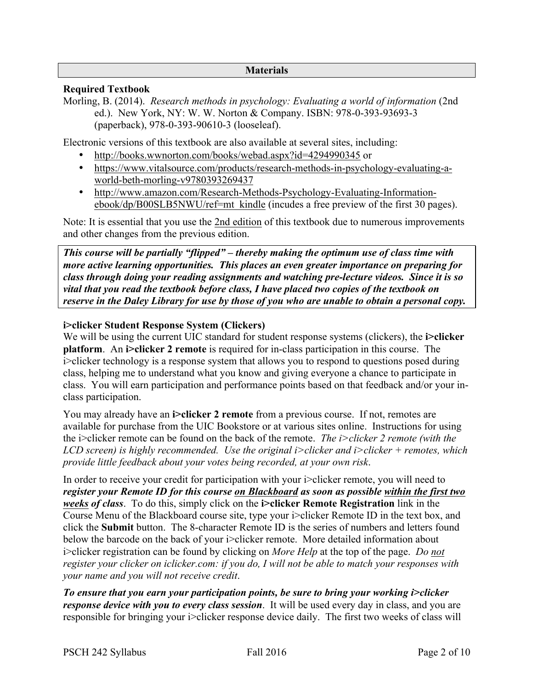### **Materials**

### **Required Textbook**

Morling, B. (2014). *Research methods in psychology: Evaluating a world of information* (2nd ed.). New York, NY: W. W. Norton & Company. ISBN: 978-0-393-93693-3 (paperback), 978-0-393-90610-3 (looseleaf).

Electronic versions of this textbook are also available at several sites, including:

- http://books.wwnorton.com/books/webad.aspx?id=4294990345 or
- https://www.vitalsource.com/products/research-methods-in-psychology-evaluating-aworld-beth-morling-v9780393269437
- http://www.amazon.com/Research-Methods-Psychology-Evaluating-Informationebook/dp/B00SLB5NWU/ref=mt\_kindle (incudes a free preview of the first 30 pages).

Note: It is essential that you use the 2nd edition of this textbook due to numerous improvements and other changes from the previous edition.

*This course will be partially "flipped" – thereby making the optimum use of class time with more active learning opportunities. This places an even greater importance on preparing for class through doing your reading assignments and watching pre-lecture videos. Since it is so vital that you read the textbook before class, I have placed two copies of the textbook on reserve in the Daley Library for use by those of you who are unable to obtain a personal copy.*

### **i>clicker Student Response System (Clickers)**

We will be using the current UIC standard for student response systems (clickers), the **i>clicker platform**. An **i>clicker 2 remote** is required for in-class participation in this course. The i>clicker technology is a response system that allows you to respond to questions posed during class, helping me to understand what you know and giving everyone a chance to participate in class. You will earn participation and performance points based on that feedback and/or your inclass participation.

You may already have an **i>clicker 2 remote** from a previous course. If not, remotes are available for purchase from the UIC Bookstore or at various sites online. Instructions for using the i>clicker remote can be found on the back of the remote. *The i>clicker 2 remote (with the LCD screen) is highly recommended. Use the original i>clicker and i>clicker + remotes, which provide little feedback about your votes being recorded, at your own risk*.

In order to receive your credit for participation with your i>clicker remote, you will need to *register your Remote ID for this course on Blackboard as soon as possible within the first two weeks of class*. To do this, simply click on the **i>clicker Remote Registration** link in the Course Menu of the Blackboard course site, type your i>clicker Remote ID in the text box, and click the **Submit** button. The 8-character Remote ID is the series of numbers and letters found below the barcode on the back of your i>clicker remote. More detailed information about i>clicker registration can be found by clicking on *More Help* at the top of the page. *Do not register your clicker on iclicker.com: if you do, I will not be able to match your responses with your name and you will not receive credit*.

*To ensure that you earn your participation points, be sure to bring your working i>clicker response device with you to every class session*. It will be used every day in class, and you are responsible for bringing your i>clicker response device daily. The first two weeks of class will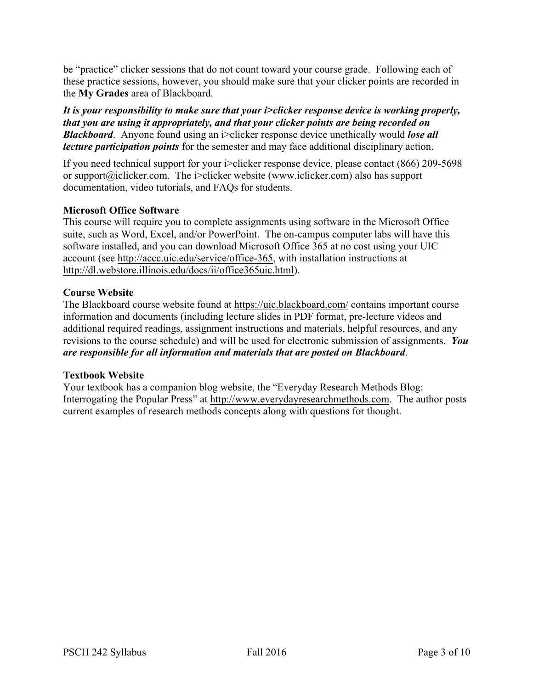be "practice" clicker sessions that do not count toward your course grade. Following each of these practice sessions, however, you should make sure that your clicker points are recorded in the **My Grades** area of Blackboard.

*It is your responsibility to make sure that your i>clicker response device is working properly, that you are using it appropriately, and that your clicker points are being recorded on Blackboard.* Anyone found using an i>clicker response device unethically would *lose all lecture participation points* for the semester and may face additional disciplinary action.

If you need technical support for your i>clicker response device, please contact (866) 209-5698 or support@iclicker.com. The i>clicker website (www.iclicker.com) also has support documentation, video tutorials, and FAQs for students.

## **Microsoft Office Software**

This course will require you to complete assignments using software in the Microsoft Office suite, such as Word, Excel, and/or PowerPoint. The on-campus computer labs will have this software installed, and you can download Microsoft Office 365 at no cost using your UIC account (see http://accc.uic.edu/service/office-365, with installation instructions at http://dl.webstore.illinois.edu/docs/ii/office365uic.html).

# **Course Website**

The Blackboard course website found at https://uic.blackboard.com/ contains important course information and documents (including lecture slides in PDF format, pre-lecture videos and additional required readings, assignment instructions and materials, helpful resources, and any revisions to the course schedule) and will be used for electronic submission of assignments. *You are responsible for all information and materials that are posted on Blackboard*.

## **Textbook Website**

Your textbook has a companion blog website, the "Everyday Research Methods Blog: Interrogating the Popular Press" at http://www.everydayresearchmethods.com. The author posts current examples of research methods concepts along with questions for thought.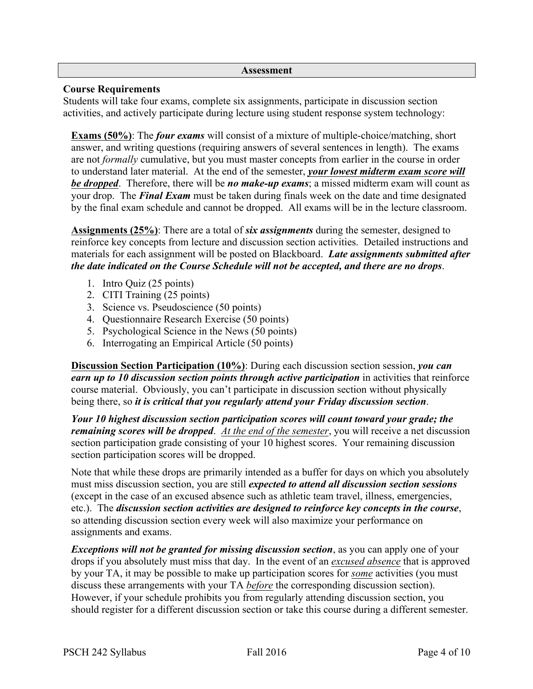#### **Assessment**

### **Course Requirements**

Students will take four exams, complete six assignments, participate in discussion section activities, and actively participate during lecture using student response system technology:

**Exams (50%)**: The *four exams* will consist of a mixture of multiple-choice/matching, short answer, and writing questions (requiring answers of several sentences in length). The exams are not *formally* cumulative, but you must master concepts from earlier in the course in order to understand later material. At the end of the semester, *your lowest midterm exam score will be dropped*. Therefore, there will be *no make-up exams*; a missed midterm exam will count as your drop. The *Final Exam* must be taken during finals week on the date and time designated by the final exam schedule and cannot be dropped. All exams will be in the lecture classroom.

**Assignments (25%)**: There are a total of *six assignments* during the semester, designed to reinforce key concepts from lecture and discussion section activities. Detailed instructions and materials for each assignment will be posted on Blackboard. *Late assignments submitted after the date indicated on the Course Schedule will not be accepted, and there are no drops*.

- 1. Intro Quiz (25 points)
- 2. CITI Training (25 points)
- 3. Science vs. Pseudoscience (50 points)
- 4. Questionnaire Research Exercise (50 points)
- 5. Psychological Science in the News (50 points)
- 6. Interrogating an Empirical Article (50 points)

**Discussion Section Participation (10%)**: During each discussion section session, *you can earn up to 10 discussion section points through active participation* in activities that reinforce course material. Obviously, you can't participate in discussion section without physically being there, so *it is critical that you regularly attend your Friday discussion section*.

*Your 10 highest discussion section participation scores will count toward your grade; the remaining scores will be dropped*. *At the end of the semester*, you will receive a net discussion section participation grade consisting of your 10 highest scores. Your remaining discussion section participation scores will be dropped.

Note that while these drops are primarily intended as a buffer for days on which you absolutely must miss discussion section, you are still *expected to attend all discussion section sessions* (except in the case of an excused absence such as athletic team travel, illness, emergencies, etc.). The *discussion section activities are designed to reinforce key concepts in the course*, so attending discussion section every week will also maximize your performance on assignments and exams.

*Exceptions will not be granted for missing discussion section*, as you can apply one of your drops if you absolutely must miss that day. In the event of an *excused absence* that is approved by your TA, it may be possible to make up participation scores for *some* activities (you must discuss these arrangements with your TA *before* the corresponding discussion section). However, if your schedule prohibits you from regularly attending discussion section, you should register for a different discussion section or take this course during a different semester.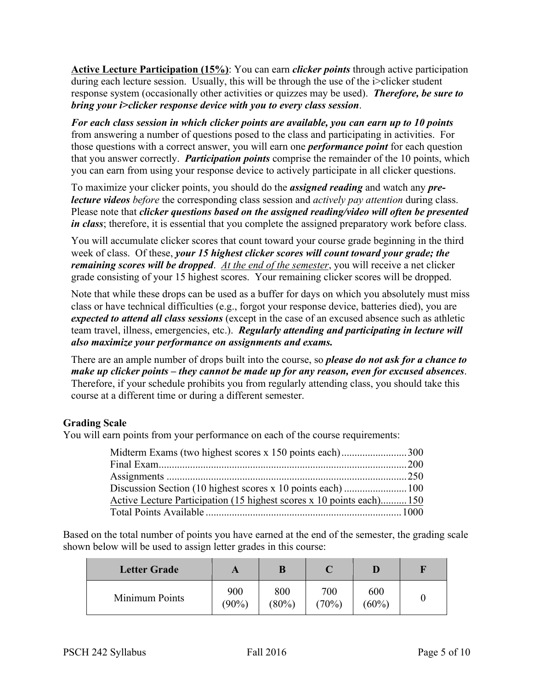**Active Lecture Participation (15%)**: You can earn *clicker points* through active participation during each lecture session. Usually, this will be through the use of the i>clicker student response system (occasionally other activities or quizzes may be used). *Therefore, be sure to bring your i>clicker response device with you to every class session*.

*For each class session in which clicker points are available, you can earn up to 10 points* from answering a number of questions posed to the class and participating in activities. For those questions with a correct answer, you will earn one *performance point* for each question that you answer correctly. *Participation points* comprise the remainder of the 10 points, which you can earn from using your response device to actively participate in all clicker questions.

To maximize your clicker points, you should do the *assigned reading* and watch any *prelecture videos before* the corresponding class session and *actively pay attention* during class. Please note that *clicker questions based on the assigned reading/video will often be presented in class*; therefore, it is essential that you complete the assigned preparatory work before class.

You will accumulate clicker scores that count toward your course grade beginning in the third week of class. Of these, *your 15 highest clicker scores will count toward your grade; the remaining scores will be dropped*. *At the end of the semester*, you will receive a net clicker grade consisting of your 15 highest scores. Your remaining clicker scores will be dropped.

Note that while these drops can be used as a buffer for days on which you absolutely must miss class or have technical difficulties (e.g., forgot your response device, batteries died), you are *expected to attend all class sessions* (except in the case of an excused absence such as athletic team travel, illness, emergencies, etc.). *Regularly attending and participating in lecture will also maximize your performance on assignments and exams.*

There are an ample number of drops built into the course, so *please do not ask for a chance to make up clicker points – they cannot be made up for any reason, even for excused absences*. Therefore, if your schedule prohibits you from regularly attending class, you should take this course at a different time or during a different semester.

## **Grading Scale**

You will earn points from your performance on each of the course requirements:

| Active Lecture Participation (15 highest scores x 10 points each)150 |  |
|----------------------------------------------------------------------|--|
|                                                                      |  |

Based on the total number of points you have earned at the end of the semester, the grading scale shown below will be used to assign letter grades in this course:

| <b>Letter Grade</b> |                 | B               |              |                 | F |
|---------------------|-----------------|-----------------|--------------|-----------------|---|
| Minimum Points      | 900<br>$(90\%)$ | 800<br>$(80\%)$ | 700<br>(70%) | 600<br>$(60\%)$ |   |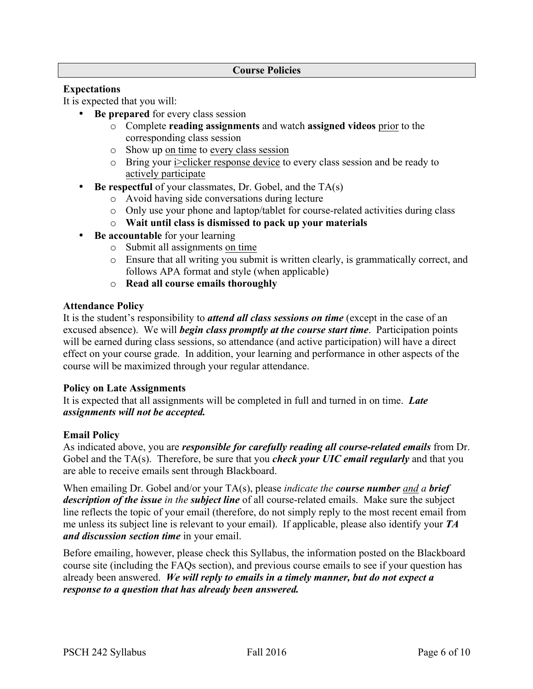### **Course Policies**

## **Expectations**

It is expected that you will:

- **Be prepared** for every class session
	- o Complete **reading assignments** and watch **assigned videos** prior to the corresponding class session
	- o Show up on time to every class session
	- o Bring your i>clicker response device to every class session and be ready to actively participate
- **Be respectful** of your classmates, Dr. Gobel, and the TA(s)
	- o Avoid having side conversations during lecture
	- o Only use your phone and laptop/tablet for course-related activities during class
	- o **Wait until class is dismissed to pack up your materials**
- **Be accountable** for your learning
	- o Submit all assignments on time
	- o Ensure that all writing you submit is written clearly, is grammatically correct, and follows APA format and style (when applicable)
	- o **Read all course emails thoroughly**

### **Attendance Policy**

It is the student's responsibility to *attend all class sessions on time* (except in the case of an excused absence). We will *begin class promptly at the course start time*. Participation points will be earned during class sessions, so attendance (and active participation) will have a direct effect on your course grade. In addition, your learning and performance in other aspects of the course will be maximized through your regular attendance.

### **Policy on Late Assignments**

It is expected that all assignments will be completed in full and turned in on time. *Late assignments will not be accepted.*

### **Email Policy**

As indicated above, you are *responsible for carefully reading all course-related emails* from Dr. Gobel and the TA(s). Therefore, be sure that you *check your UIC email regularly* and that you are able to receive emails sent through Blackboard.

When emailing Dr. Gobel and/or your TA(s), please *indicate the course number and a brief description of the issue in the subject line* of all course-related emails. Make sure the subject line reflects the topic of your email (therefore, do not simply reply to the most recent email from me unless its subject line is relevant to your email). If applicable, please also identify your *TA and discussion section time* in your email.

Before emailing, however, please check this Syllabus, the information posted on the Blackboard course site (including the FAQs section), and previous course emails to see if your question has already been answered. *We will reply to emails in a timely manner, but do not expect a response to a question that has already been answered.*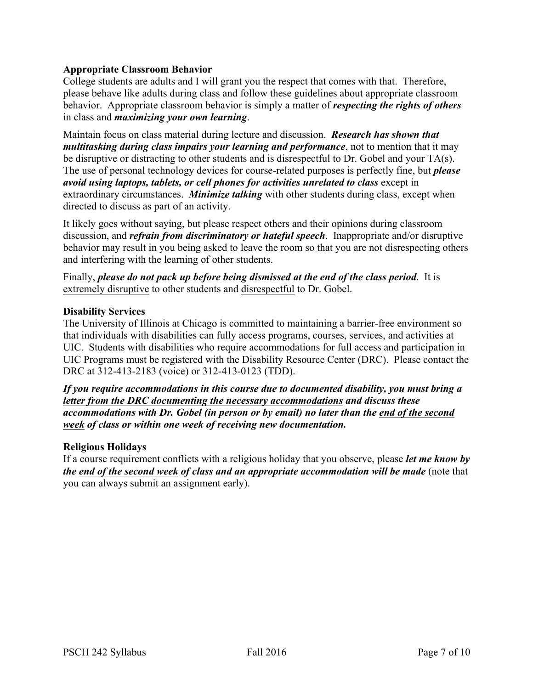## **Appropriate Classroom Behavior**

College students are adults and I will grant you the respect that comes with that. Therefore, please behave like adults during class and follow these guidelines about appropriate classroom behavior. Appropriate classroom behavior is simply a matter of *respecting the rights of others* in class and *maximizing your own learning*.

Maintain focus on class material during lecture and discussion. *Research has shown that multitasking during class impairs your learning and performance*, not to mention that it may be disruptive or distracting to other students and is disrespectful to Dr. Gobel and your TA(s). The use of personal technology devices for course-related purposes is perfectly fine, but *please avoid using laptops, tablets, or cell phones for activities unrelated to class* except in extraordinary circumstances. *Minimize talking* with other students during class, except when directed to discuss as part of an activity.

It likely goes without saying, but please respect others and their opinions during classroom discussion, and *refrain from discriminatory or hateful speech*. Inappropriate and/or disruptive behavior may result in you being asked to leave the room so that you are not disrespecting others and interfering with the learning of other students.

Finally, *please do not pack up before being dismissed at the end of the class period*. It is extremely disruptive to other students and disrespectful to Dr. Gobel.

### **Disability Services**

The University of Illinois at Chicago is committed to maintaining a barrier-free environment so that individuals with disabilities can fully access programs, courses, services, and activities at UIC. Students with disabilities who require accommodations for full access and participation in UIC Programs must be registered with the Disability Resource Center (DRC). Please contact the DRC at 312-413-2183 (voice) or 312-413-0123 (TDD).

*If you require accommodations in this course due to documented disability, you must bring a letter from the DRC documenting the necessary accommodations and discuss these accommodations with Dr. Gobel (in person or by email) no later than the end of the second week of class or within one week of receiving new documentation.*

### **Religious Holidays**

If a course requirement conflicts with a religious holiday that you observe, please *let me know by the end of the second week of class and an appropriate accommodation will be made* (note that you can always submit an assignment early).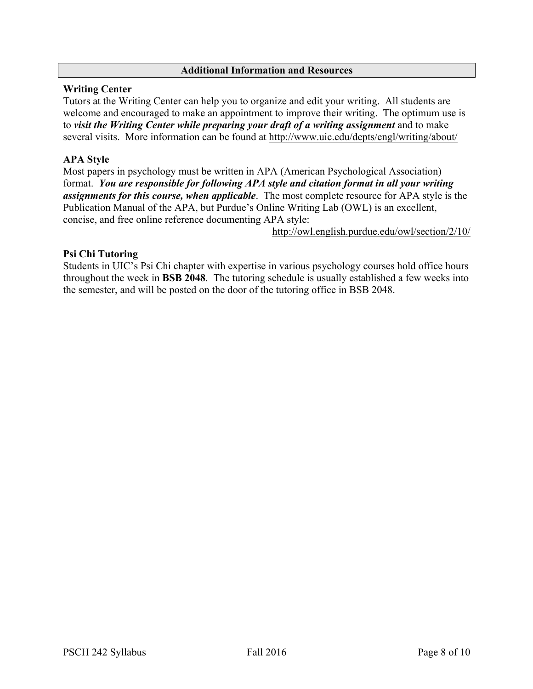### **Additional Information and Resources**

### **Writing Center**

Tutors at the Writing Center can help you to organize and edit your writing. All students are welcome and encouraged to make an appointment to improve their writing. The optimum use is to *visit the Writing Center while preparing your draft of a writing assignment* and to make several visits. More information can be found at http://www.uic.edu/depts/engl/writing/about/

## **APA Style**

Most papers in psychology must be written in APA (American Psychological Association) format. *You are responsible for following APA style and citation format in all your writing assignments for this course, when applicable*. The most complete resource for APA style is the Publication Manual of the APA, but Purdue's Online Writing Lab (OWL) is an excellent, concise, and free online reference documenting APA style:

http://owl.english.purdue.edu/owl/section/2/10/

## **Psi Chi Tutoring**

Students in UIC's Psi Chi chapter with expertise in various psychology courses hold office hours throughout the week in **BSB 2048**. The tutoring schedule is usually established a few weeks into the semester, and will be posted on the door of the tutoring office in BSB 2048.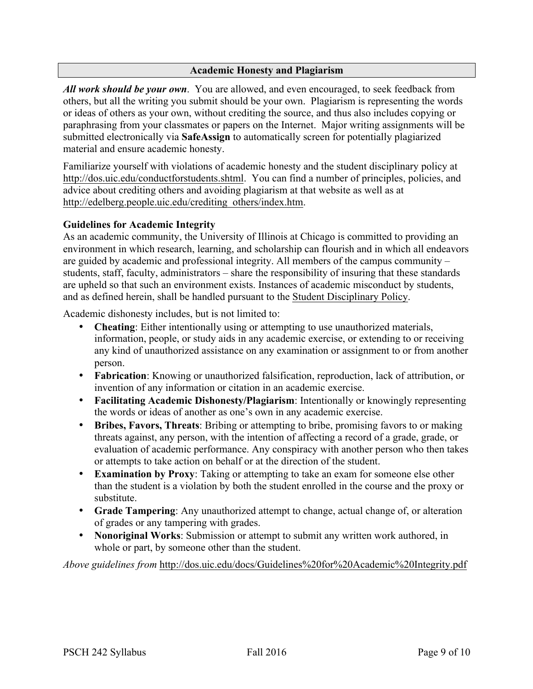### **Academic Honesty and Plagiarism**

*All work should be your own*. You are allowed, and even encouraged, to seek feedback from others, but all the writing you submit should be your own. Plagiarism is representing the words or ideas of others as your own, without crediting the source, and thus also includes copying or paraphrasing from your classmates or papers on the Internet. Major writing assignments will be submitted electronically via **SafeAssign** to automatically screen for potentially plagiarized material and ensure academic honesty.

Familiarize yourself with violations of academic honesty and the student disciplinary policy at http://dos.uic.edu/conductforstudents.shtml. You can find a number of principles, policies, and advice about crediting others and avoiding plagiarism at that website as well as at http://edelberg.people.uic.edu/crediting\_others/index.htm.

### **Guidelines for Academic Integrity**

As an academic community, the University of Illinois at Chicago is committed to providing an environment in which research, learning, and scholarship can flourish and in which all endeavors are guided by academic and professional integrity. All members of the campus community – students, staff, faculty, administrators – share the responsibility of insuring that these standards are upheld so that such an environment exists. Instances of academic misconduct by students, and as defined herein, shall be handled pursuant to the Student Disciplinary Policy.

Academic dishonesty includes, but is not limited to:

- **Cheating**: Either intentionally using or attempting to use unauthorized materials, information, people, or study aids in any academic exercise, or extending to or receiving any kind of unauthorized assistance on any examination or assignment to or from another person.
- **Fabrication**: Knowing or unauthorized falsification, reproduction, lack of attribution, or invention of any information or citation in an academic exercise.
- **Facilitating Academic Dishonesty/Plagiarism**: Intentionally or knowingly representing the words or ideas of another as one's own in any academic exercise.
- **Bribes, Favors, Threats**: Bribing or attempting to bribe, promising favors to or making threats against, any person, with the intention of affecting a record of a grade, grade, or evaluation of academic performance. Any conspiracy with another person who then takes or attempts to take action on behalf or at the direction of the student.
- **Examination by Proxy**: Taking or attempting to take an exam for someone else other than the student is a violation by both the student enrolled in the course and the proxy or substitute.
- **Grade Tampering**: Any unauthorized attempt to change, actual change of, or alteration of grades or any tampering with grades.
- **Nonoriginal Works**: Submission or attempt to submit any written work authored, in whole or part, by someone other than the student.

*Above guidelines from* http://dos.uic.edu/docs/Guidelines%20for%20Academic%20Integrity.pdf